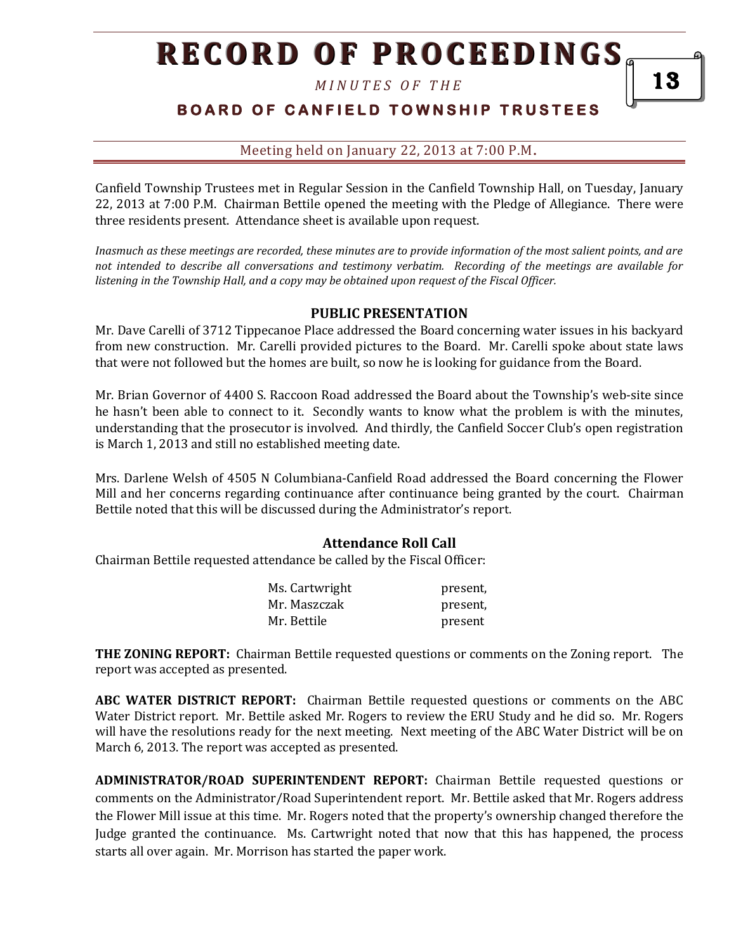*M I N U T E S O F T H E* 

### **B O A R D O F C A N F I E L D T O W N S H I P T R U S T E E S**

#### Meeting held on January 22, 2013 at 7:00 P.M**.**

Canfield Township Trustees met in Regular Session in the Canfield Township Hall, on Tuesday, January 22, 2013 at 7:00 P.M. Chairman Bettile opened the meeting with the Pledge of Allegiance. There were three residents present. Attendance sheet is available upon request.

*Inasmuch as these meetings are recorded, these minutes are to provide information of the most salient points, and are not intended to describe all conversations and testimony verbatim. Recording of the meetings are available for listening in the Township Hall, and a copy may be obtained upon request of the Fiscal Officer.* 

#### **PUBLIC PRESENTATION**

Mr. Dave Carelli of 3712 Tippecanoe Place addressed the Board concerning water issues in his backyard from new construction. Mr. Carelli provided pictures to the Board. Mr. Carelli spoke about state laws that were not followed but the homes are built, so now he is looking for guidance from the Board.

Mr. Brian Governor of 4400 S. Raccoon Road addressed the Board about the Township's web-site since he hasn't been able to connect to it. Secondly wants to know what the problem is with the minutes, understanding that the prosecutor is involved. And thirdly, the Canfield Soccer Club's open registration is March 1, 2013 and still no established meeting date.

Mrs. Darlene Welsh of 4505 N Columbiana-Canfield Road addressed the Board concerning the Flower Mill and her concerns regarding continuance after continuance being granted by the court. Chairman Bettile noted that this will be discussed during the Administrator's report.

#### **Attendance Roll Call**

Chairman Bettile requested attendance be called by the Fiscal Officer:

| Ms. Cartwright | present, |
|----------------|----------|
| Mr. Maszczak   | present, |
| Mr. Bettile    | present  |

**THE ZONING REPORT:** Chairman Bettile requested questions or comments on the Zoning report. The report was accepted as presented.

**ABC WATER DISTRICT REPORT:** Chairman Bettile requested questions or comments on the ABC Water District report. Mr. Bettile asked Mr. Rogers to review the ERU Study and he did so. Mr. Rogers will have the resolutions ready for the next meeting. Next meeting of the ABC Water District will be on March 6, 2013. The report was accepted as presented.

**ADMINISTRATOR/ROAD SUPERINTENDENT REPORT:** Chairman Bettile requested questions or comments on the Administrator/Road Superintendent report. Mr. Bettile asked that Mr. Rogers address the Flower Mill issue at this time. Mr. Rogers noted that the property's ownership changed therefore the Judge granted the continuance. Ms. Cartwright noted that now that this has happened, the process starts all over again. Mr. Morrison has started the paper work.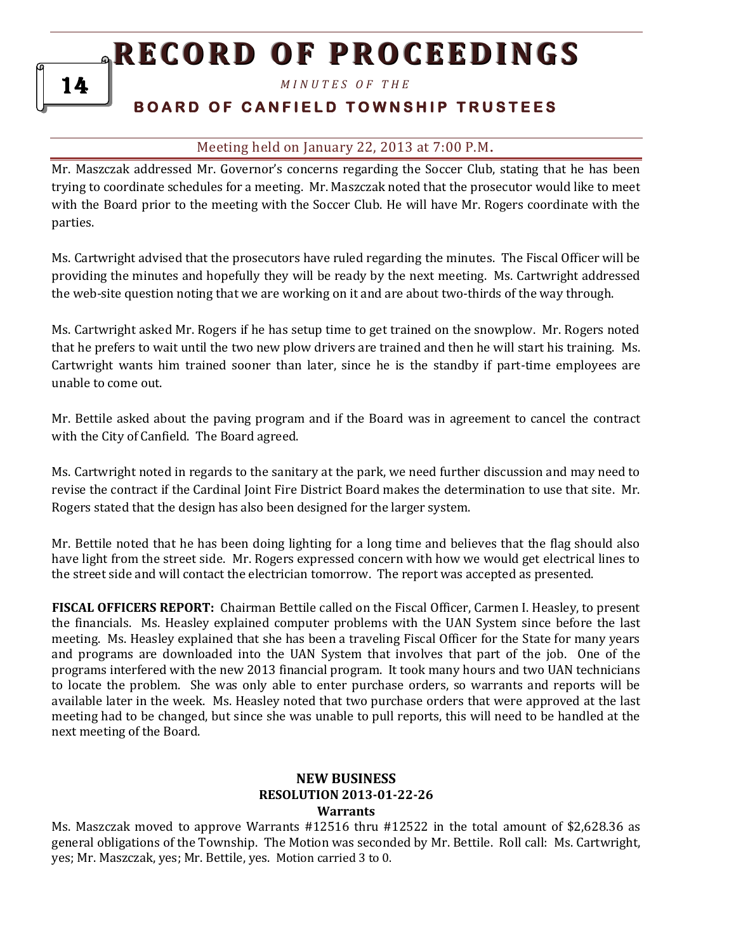*M I N U T E S O F T H E* 

### **B O A R D O F C A N F I E L D T O W N S H I P T R U S T E E S**

### Meeting held on January 22, 2013 at 7:00 P.M**.**

Mr. Maszczak addressed Mr. Governor's concerns regarding the Soccer Club, stating that he has been trying to coordinate schedules for a meeting. Mr. Maszczak noted that the prosecutor would like to meet with the Board prior to the meeting with the Soccer Club. He will have Mr. Rogers coordinate with the parties.

Ms. Cartwright advised that the prosecutors have ruled regarding the minutes. The Fiscal Officer will be providing the minutes and hopefully they will be ready by the next meeting. Ms. Cartwright addressed the web-site question noting that we are working on it and are about two-thirds of the way through.

Ms. Cartwright asked Mr. Rogers if he has setup time to get trained on the snowplow. Mr. Rogers noted that he prefers to wait until the two new plow drivers are trained and then he will start his training. Ms. Cartwright wants him trained sooner than later, since he is the standby if part-time employees are unable to come out.

Mr. Bettile asked about the paving program and if the Board was in agreement to cancel the contract with the City of Canfield. The Board agreed.

Ms. Cartwright noted in regards to the sanitary at the park, we need further discussion and may need to revise the contract if the Cardinal Joint Fire District Board makes the determination to use that site. Mr. Rogers stated that the design has also been designed for the larger system.

Mr. Bettile noted that he has been doing lighting for a long time and believes that the flag should also have light from the street side. Mr. Rogers expressed concern with how we would get electrical lines to the street side and will contact the electrician tomorrow. The report was accepted as presented.

**FISCAL OFFICERS REPORT:** Chairman Bettile called on the Fiscal Officer, Carmen I. Heasley, to present the financials. Ms. Heasley explained computer problems with the UAN System since before the last meeting. Ms. Heasley explained that she has been a traveling Fiscal Officer for the State for many years and programs are downloaded into the UAN System that involves that part of the job. One of the programs interfered with the new 2013 financial program. It took many hours and two UAN technicians to locate the problem. She was only able to enter purchase orders, so warrants and reports will be available later in the week. Ms. Heasley noted that two purchase orders that were approved at the last meeting had to be changed, but since she was unable to pull reports, this will need to be handled at the next meeting of the Board.

#### **NEW BUSINESS RESOLUTION 2013-01-22-26 Warrants**

Ms. Maszczak moved to approve Warrants #12516 thru #12522 in the total amount of \$2,628.36 as general obligations of the Township. The Motion was seconded by Mr. Bettile. Roll call: Ms. Cartwright, yes; Mr. Maszczak, yes; Mr. Bettile, yes. Motion carried 3 to 0.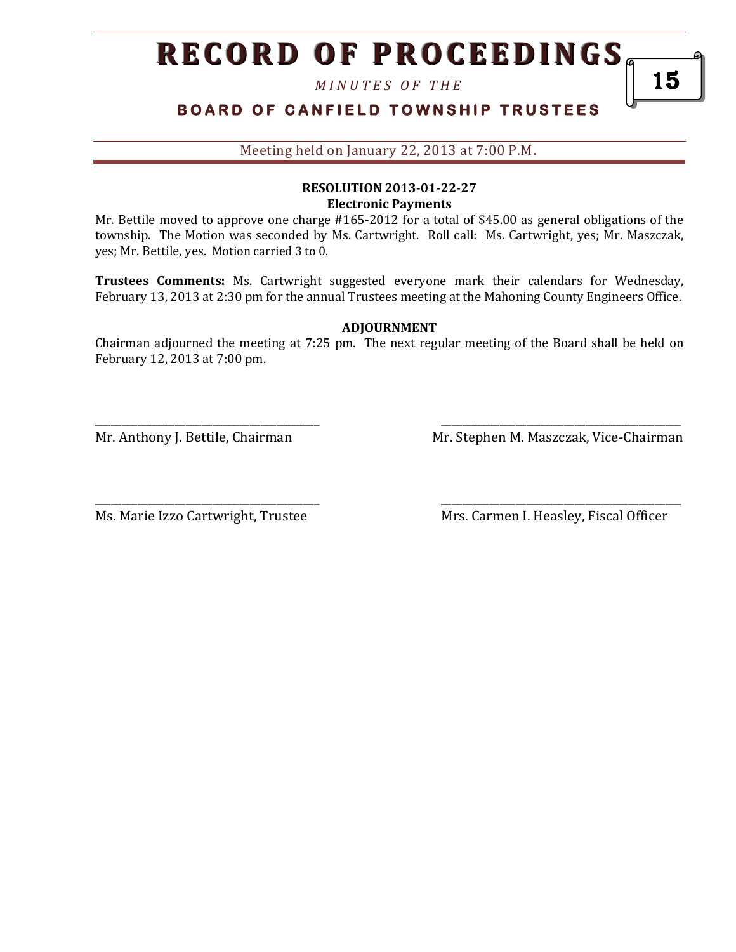*M I N U T E S O F T H E* 

## **BOARD OF CANFIELD TOWNSHIP TRUSTEES**

Meeting held on January 22, 2013 at 7:00 P.M**.**

### **RESOLUTION 2013-01-22-27 Electronic Payments**

Mr. Bettile moved to approve one charge #165-2012 for a total of \$45.00 as general obligations of the township. The Motion was seconded by Ms. Cartwright. Roll call: Ms. Cartwright, yes; Mr. Maszczak, yes; Mr. Bettile, yes. Motion carried 3 to 0.

**Trustees Comments:** Ms. Cartwright suggested everyone mark their calendars for Wednesday, February 13, 2013 at 2:30 pm for the annual Trustees meeting at the Mahoning County Engineers Office.

#### **ADJOURNMENT**

Chairman adjourned the meeting at 7:25 pm. The next regular meeting of the Board shall be held on February 12, 2013 at 7:00 pm.

\_\_\_\_\_\_\_\_\_\_\_\_\_\_\_\_\_\_\_\_\_\_\_\_\_\_\_\_\_\_\_\_\_\_\_\_\_\_\_\_\_\_ \_\_\_\_\_\_\_\_\_\_\_\_\_\_\_\_\_\_\_\_\_\_\_\_\_\_\_\_\_\_\_\_\_\_\_\_\_\_\_\_\_\_\_\_\_

\_\_\_\_\_\_\_\_\_\_\_\_\_\_\_\_\_\_\_\_\_\_\_\_\_\_\_\_\_\_\_\_\_\_\_\_\_\_\_\_\_\_ \_\_\_\_\_\_\_\_\_\_\_\_\_\_\_\_\_\_\_\_\_\_\_\_\_\_\_\_\_\_\_\_\_\_\_\_\_\_\_\_\_\_\_\_\_

Mr. Anthony J. Bettile, Chairman Mr. Stephen M. Maszczak, Vice-Chairman

Ms. Marie Izzo Cartwright, Trustee Mrs. Carmen I. Heasley, Fiscal Officer